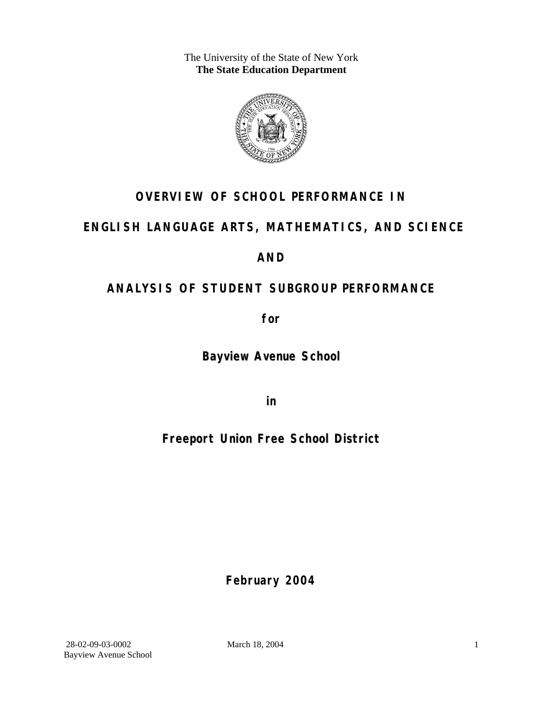The University of the State of New York **The State Education Department** 



# **OVERVIEW OF SCHOOL PERFORMANCE IN**

### **ENGLISH LANGUAGE ARTS, MATHEMATICS, AND SCIENCE**

### **AND**

# **ANALYSIS OF STUDENT SUBGROUP PERFORMANCE**

**for** 

**Bayview Avenue School**

**in** 

**Freeport Union Free School District**

**February 2004**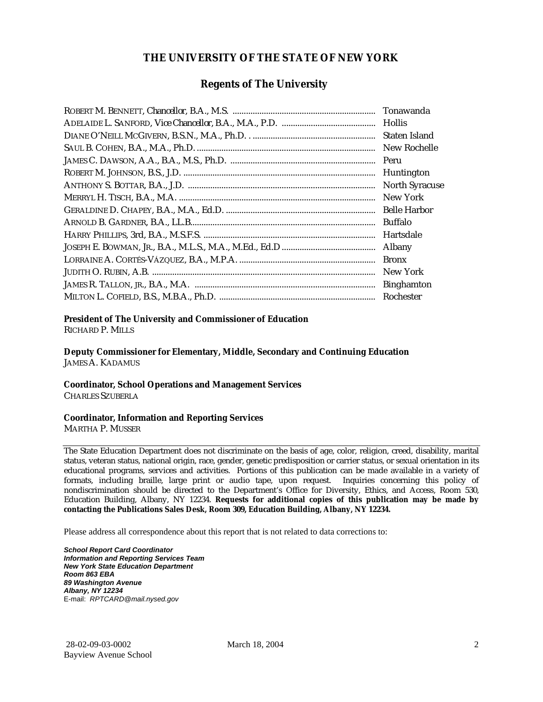#### **THE UNIVERSITY OF THE STATE OF NEW YORK**

#### **Regents of The University**

| Tonawanda             |
|-----------------------|
| <b>Hollis</b>         |
| Staten Island         |
| New Rochelle          |
| Peru                  |
| Huntington            |
| <b>North Syracuse</b> |
| New York              |
| <b>Belle Harbor</b>   |
| Buffalo               |
| Hartsdale             |
| Albany                |
| <b>Bronx</b>          |
| New York              |
| <b>Binghamton</b>     |
| Rochester             |

#### **President of The University and Commissioner of Education**

RICHARD P. MILLS

**Deputy Commissioner for Elementary, Middle, Secondary and Continuing Education**  JAMES A. KADAMUS

#### **Coordinator, School Operations and Management Services**

CHARLES SZUBERLA

#### **Coordinator, Information and Reporting Services**

MARTHA P. MUSSER

The State Education Department does not discriminate on the basis of age, color, religion, creed, disability, marital status, veteran status, national origin, race, gender, genetic predisposition or carrier status, or sexual orientation in its educational programs, services and activities. Portions of this publication can be made available in a variety of formats, including braille, large print or audio tape, upon request. Inquiries concerning this policy of nondiscrimination should be directed to the Department's Office for Diversity, Ethics, and Access, Room 530, Education Building, Albany, NY 12234. **Requests for additional copies of this publication may be made by contacting the Publications Sales Desk, Room 309, Education Building, Albany, NY 12234.** 

Please address all correspondence about this report that is not related to data corrections to:

*School Report Card Coordinator Information and Reporting Services Team New York State Education Department Room 863 EBA 89 Washington Avenue Albany, NY 12234*  E-mail: *RPTCARD@mail.nysed.gov*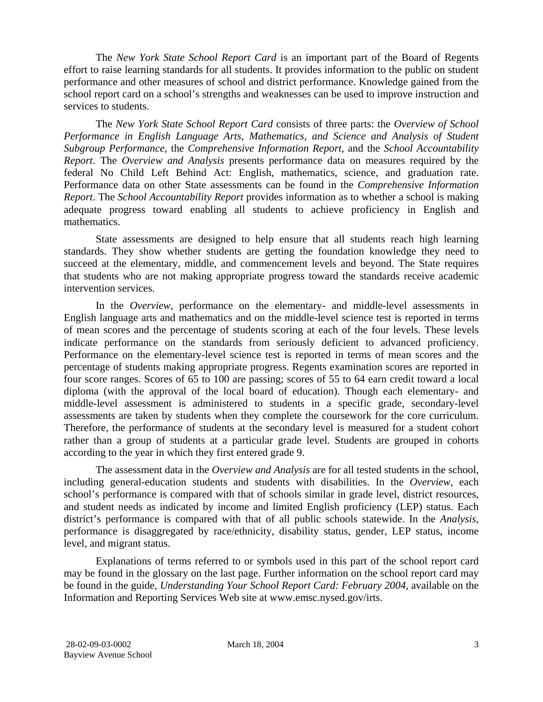The *New York State School Report Card* is an important part of the Board of Regents effort to raise learning standards for all students. It provides information to the public on student performance and other measures of school and district performance. Knowledge gained from the school report card on a school's strengths and weaknesses can be used to improve instruction and services to students.

The *New York State School Report Card* consists of three parts: the *Overview of School Performance in English Language Arts, Mathematics, and Science and Analysis of Student Subgroup Performance,* the *Comprehensive Information Report,* and the *School Accountability Report*. The *Overview and Analysis* presents performance data on measures required by the federal No Child Left Behind Act: English, mathematics, science, and graduation rate. Performance data on other State assessments can be found in the *Comprehensive Information Report*. The *School Accountability Report* provides information as to whether a school is making adequate progress toward enabling all students to achieve proficiency in English and mathematics.

State assessments are designed to help ensure that all students reach high learning standards. They show whether students are getting the foundation knowledge they need to succeed at the elementary, middle, and commencement levels and beyond. The State requires that students who are not making appropriate progress toward the standards receive academic intervention services.

In the *Overview*, performance on the elementary- and middle-level assessments in English language arts and mathematics and on the middle-level science test is reported in terms of mean scores and the percentage of students scoring at each of the four levels. These levels indicate performance on the standards from seriously deficient to advanced proficiency. Performance on the elementary-level science test is reported in terms of mean scores and the percentage of students making appropriate progress. Regents examination scores are reported in four score ranges. Scores of 65 to 100 are passing; scores of 55 to 64 earn credit toward a local diploma (with the approval of the local board of education). Though each elementary- and middle-level assessment is administered to students in a specific grade, secondary-level assessments are taken by students when they complete the coursework for the core curriculum. Therefore, the performance of students at the secondary level is measured for a student cohort rather than a group of students at a particular grade level. Students are grouped in cohorts according to the year in which they first entered grade 9.

The assessment data in the *Overview and Analysis* are for all tested students in the school, including general-education students and students with disabilities. In the *Overview*, each school's performance is compared with that of schools similar in grade level, district resources, and student needs as indicated by income and limited English proficiency (LEP) status. Each district's performance is compared with that of all public schools statewide. In the *Analysis*, performance is disaggregated by race/ethnicity, disability status, gender, LEP status, income level, and migrant status.

Explanations of terms referred to or symbols used in this part of the school report card may be found in the glossary on the last page. Further information on the school report card may be found in the guide, *Understanding Your School Report Card: February 2004*, available on the Information and Reporting Services Web site at www.emsc.nysed.gov/irts.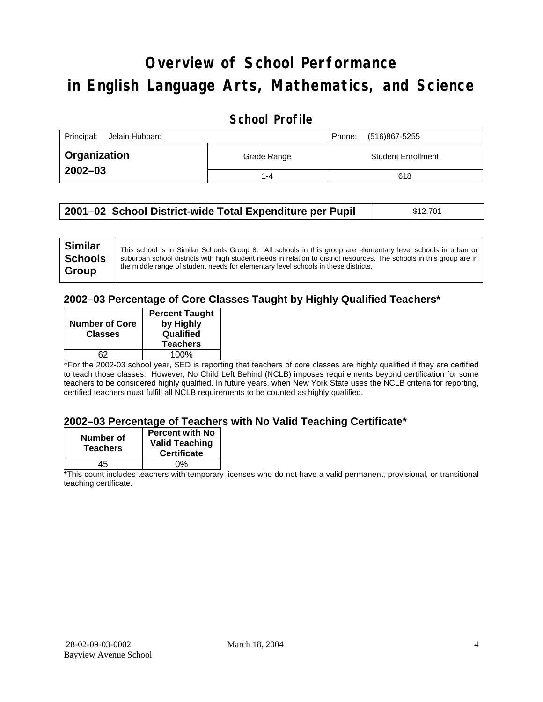# **Overview of School Performance in English Language Arts, Mathematics, and Science**

### **School Profile**

| Principal:<br>Jelain Hubbard |             | (516)867-5255<br>Phone:   |
|------------------------------|-------------|---------------------------|
| Organization                 | Grade Range | <b>Student Enrollment</b> |
| $2002 - 03$                  | 1-4         | 618                       |

| 2001–02 School District-wide Total Expenditure per Pupil | \$12,701 |  |
|----------------------------------------------------------|----------|--|
|----------------------------------------------------------|----------|--|

| <b>Similar</b> | This school is in Similar Schools Group 8. All schools in this group are elementary level schools in urban or         |
|----------------|-----------------------------------------------------------------------------------------------------------------------|
| <b>Schools</b> | suburban school districts with high student needs in relation to district resources. The schools in this group are in |
| Group          | the middle range of student needs for elementary level schools in these districts.                                    |
|                |                                                                                                                       |

#### **2002–03 Percentage of Core Classes Taught by Highly Qualified Teachers\***

| <b>Number of Core</b><br><b>Classes</b> | <b>Percent Taught</b><br>by Highly<br>Qualified<br><b>Teachers</b> |
|-----------------------------------------|--------------------------------------------------------------------|
|                                         |                                                                    |
|                                         | 100%                                                               |
|                                         |                                                                    |

\*For the 2002-03 school year, SED is reporting that teachers of core classes are highly qualified if they are certified to teach those classes. However, No Child Left Behind (NCLB) imposes requirements beyond certification for some teachers to be considered highly qualified. In future years, when New York State uses the NCLB criteria for reporting, certified teachers must fulfill all NCLB requirements to be counted as highly qualified.

#### **2002–03 Percentage of Teachers with No Valid Teaching Certificate\***

| Number of<br><b>Teachers</b> | <b>Percent with No</b><br><b>Valid Teaching</b><br><b>Certificate</b> |
|------------------------------|-----------------------------------------------------------------------|
| 45                           | በ%                                                                    |

\*This count includes teachers with temporary licenses who do not have a valid permanent, provisional, or transitional teaching certificate.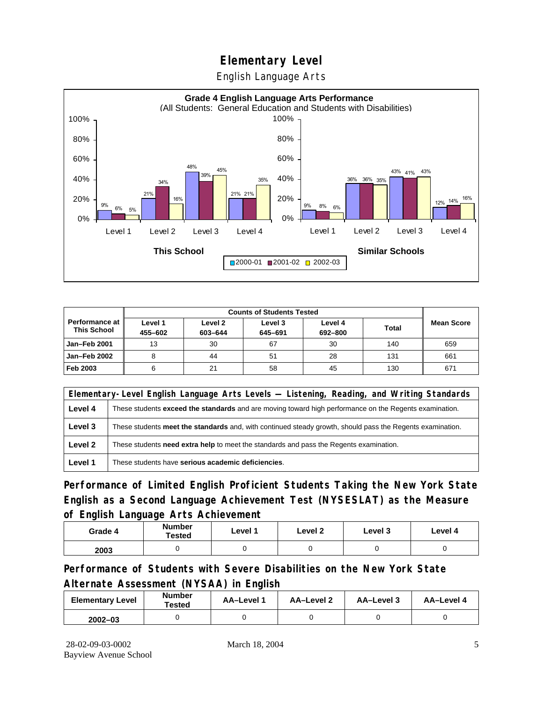English Language Arts



|                                             |                    | <b>Counts of Students Tested</b> |                    |                    |       |                   |
|---------------------------------------------|--------------------|----------------------------------|--------------------|--------------------|-------|-------------------|
| <b>Performance at</b><br><b>This School</b> | Level 1<br>455-602 | Level 2<br>603-644               | Level 3<br>645-691 | Level 4<br>692-800 | Total | <b>Mean Score</b> |
| Jan-Feb 2001                                | 13                 | 30                               | 67                 | 30                 | 140   | 659               |
| Jan-Feb 2002                                |                    | 44                               | 51                 | 28                 | 131   | 661               |
| Feb 2003                                    | 6                  | 21                               | 58                 | 45                 | 130   | 671               |

|         | Elementary-Level English Language Arts Levels — Listening, Reading, and Writing Standards                 |  |  |  |
|---------|-----------------------------------------------------------------------------------------------------------|--|--|--|
| Level 4 | These students exceed the standards and are moving toward high performance on the Regents examination.    |  |  |  |
| Level 3 | These students meet the standards and, with continued steady growth, should pass the Regents examination. |  |  |  |
| Level 2 | These students <b>need extra help</b> to meet the standards and pass the Regents examination.             |  |  |  |
| Level 1 | These students have serious academic deficiencies.                                                        |  |  |  |

**Performance of Limited English Proficient Students Taking the New York State English as a Second Language Achievement Test (NYSESLAT) as the Measure of English Language Arts Achievement**

| Grade 4 | <b>Number</b><br><b>Tested</b> | Level 1 | Level 2 | Level 3 | Level 4 |
|---------|--------------------------------|---------|---------|---------|---------|
| 2003    |                                |         |         |         |         |

**Performance of Students with Severe Disabilities on the New York State Alternate Assessment (NYSAA) in English** 

| <b>Elementary Level</b> | <b>Number</b><br>Tested | AA-Level 1 | AA-Level 2 | AA-Level 3 | AA-Level 4 |
|-------------------------|-------------------------|------------|------------|------------|------------|
| $2002 - 03$             |                         |            |            |            |            |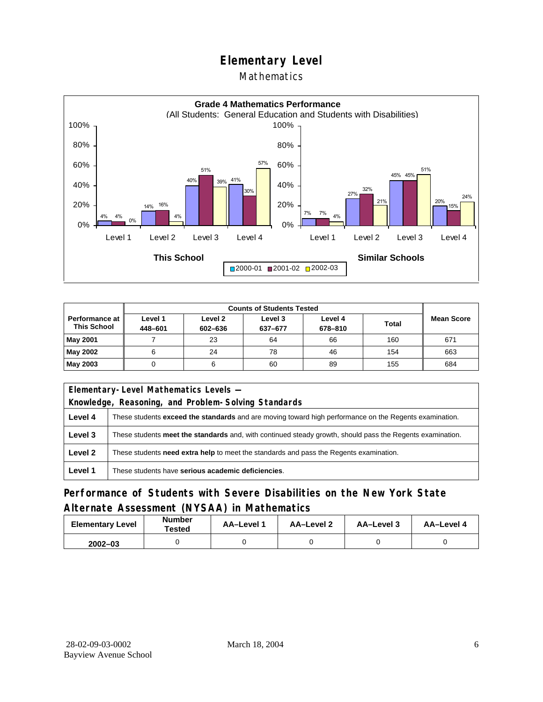### Mathematics



|                                               | <b>Counts of Students Tested</b> |                    |                    |                    |              |                   |
|-----------------------------------------------|----------------------------------|--------------------|--------------------|--------------------|--------------|-------------------|
| <b>Performance at I</b><br><b>This School</b> | Level 1<br>448-601               | Level 2<br>602-636 | Level 3<br>637-677 | Level 4<br>678-810 | <b>Total</b> | <b>Mean Score</b> |
| <b>May 2001</b>                               |                                  | 23                 | 64                 | 66                 | 160          | 671               |
| May 2002                                      | 6                                | 24                 | 78                 | 46                 | 154          | 663               |
| May 2003                                      |                                  |                    | 60                 | 89                 | 155          | 684               |

|                                                                                                   | Elementary-Level Mathematics Levels -                                                                         |  |  |  |
|---------------------------------------------------------------------------------------------------|---------------------------------------------------------------------------------------------------------------|--|--|--|
|                                                                                                   | Knowledge, Reasoning, and Problem-Solving Standards                                                           |  |  |  |
| Level 4                                                                                           | These students <b>exceed the standards</b> and are moving toward high performance on the Regents examination. |  |  |  |
| Level 3                                                                                           | These students meet the standards and, with continued steady growth, should pass the Regents examination.     |  |  |  |
| Level 2<br>These students need extra help to meet the standards and pass the Regents examination. |                                                                                                               |  |  |  |
| Level 1                                                                                           | These students have serious academic deficiencies.                                                            |  |  |  |

### **Performance of Students with Severe Disabilities on the New York State Alternate Assessment (NYSAA) in Mathematics**

| <b>Elementary Level</b> | <b>Number</b><br>Tested | <b>AA-Level 1</b> | AA-Level 2 | AA-Level 3 | AA-Level 4 |  |
|-------------------------|-------------------------|-------------------|------------|------------|------------|--|
| $2002 - 03$             |                         |                   |            |            |            |  |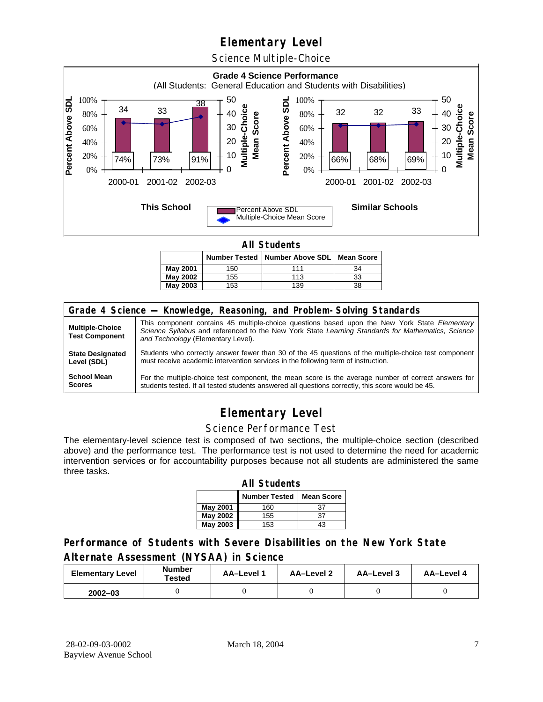Science Multiple-Choice



**All Students** 

|          |     | Number Tested   Number Above SDL   Mean Score |    |
|----------|-----|-----------------------------------------------|----|
| May 2001 | 150 | 111                                           | 34 |
| May 2002 | 155 | 113                                           | 33 |
| May 2003 | 153 | 139                                           | 38 |

| Grade 4 Science - Knowledge, Reasoning, and Problem-Solving Standards |                                                                                                                                                                                                                                          |  |  |  |  |  |
|-----------------------------------------------------------------------|------------------------------------------------------------------------------------------------------------------------------------------------------------------------------------------------------------------------------------------|--|--|--|--|--|
| <b>Multiple-Choice</b><br><b>Test Component</b>                       | This component contains 45 multiple-choice questions based upon the New York State Elementary<br>Science Syllabus and referenced to the New York State Learning Standards for Mathematics, Science<br>and Technology (Elementary Level). |  |  |  |  |  |
| <b>State Designated</b>                                               | Students who correctly answer fewer than 30 of the 45 questions of the multiple-choice test component                                                                                                                                    |  |  |  |  |  |
| Level (SDL)                                                           | must receive academic intervention services in the following term of instruction.                                                                                                                                                        |  |  |  |  |  |
| <b>School Mean</b>                                                    | For the multiple-choice test component, the mean score is the average number of correct answers for                                                                                                                                      |  |  |  |  |  |
| <b>Scores</b>                                                         | students tested. If all tested students answered all questions correctly, this score would be 45.                                                                                                                                        |  |  |  |  |  |

# **Elementary Level**

#### Science Performance Test

The elementary-level science test is composed of two sections, the multiple-choice section (described above) and the performance test. The performance test is not used to determine the need for academic intervention services or for accountability purposes because not all students are administered the same three tasks.

| <b>All Students</b>                       |     |    |  |  |  |  |  |  |  |
|-------------------------------------------|-----|----|--|--|--|--|--|--|--|
| <b>Number Tested</b><br><b>Mean Score</b> |     |    |  |  |  |  |  |  |  |
| May 2001                                  | 160 | 37 |  |  |  |  |  |  |  |
| <b>May 2002</b>                           | 155 | 37 |  |  |  |  |  |  |  |
| <b>May 2003</b>                           | 153 | 43 |  |  |  |  |  |  |  |

### **Performance of Students with Severe Disabilities on the New York State Alternate Assessment (NYSAA) in Science**

| <b>Elementary Level</b> | <b>Number</b><br>Tested | AA-Level 1 | <b>AA-Level 2</b> | AA-Level 3 | AA-Level 4 |  |
|-------------------------|-------------------------|------------|-------------------|------------|------------|--|
| $2002 - 03$             |                         |            |                   |            |            |  |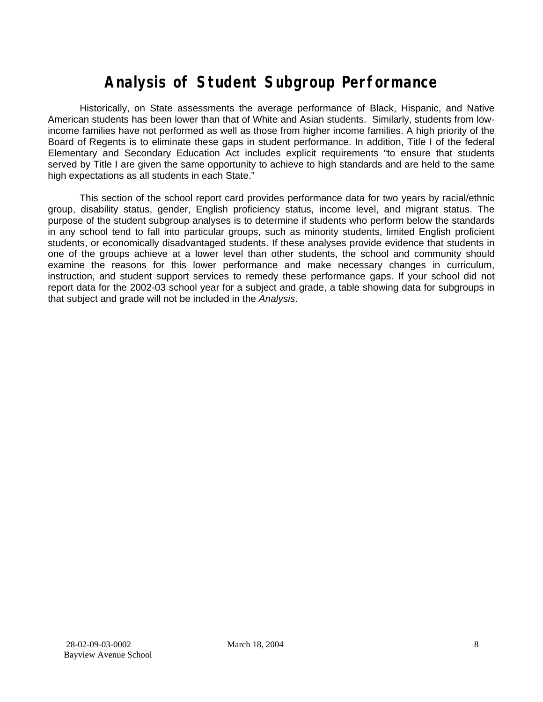# **Analysis of Student Subgroup Performance**

Historically, on State assessments the average performance of Black, Hispanic, and Native American students has been lower than that of White and Asian students. Similarly, students from lowincome families have not performed as well as those from higher income families. A high priority of the Board of Regents is to eliminate these gaps in student performance. In addition, Title I of the federal Elementary and Secondary Education Act includes explicit requirements "to ensure that students served by Title I are given the same opportunity to achieve to high standards and are held to the same high expectations as all students in each State."

This section of the school report card provides performance data for two years by racial/ethnic group, disability status, gender, English proficiency status, income level, and migrant status. The purpose of the student subgroup analyses is to determine if students who perform below the standards in any school tend to fall into particular groups, such as minority students, limited English proficient students, or economically disadvantaged students. If these analyses provide evidence that students in one of the groups achieve at a lower level than other students, the school and community should examine the reasons for this lower performance and make necessary changes in curriculum, instruction, and student support services to remedy these performance gaps. If your school did not report data for the 2002-03 school year for a subject and grade, a table showing data for subgroups in that subject and grade will not be included in the *Analysis*.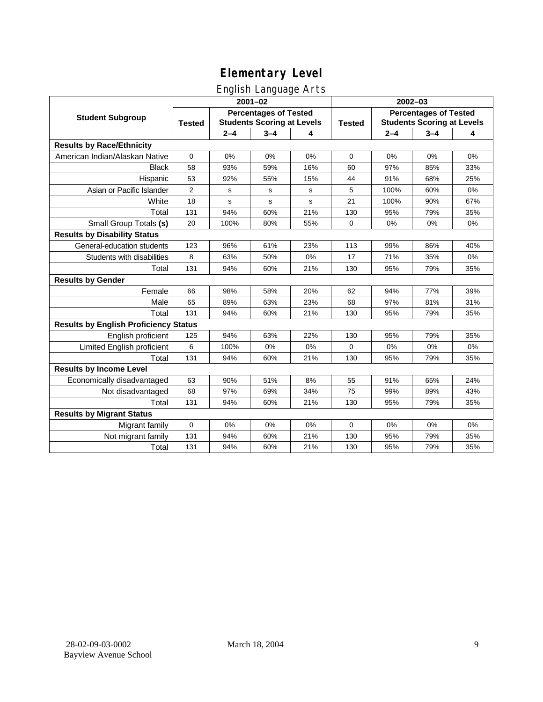### English Language Arts

|                                              | ັ<br>$2001 - 02$                                                                   |             |         |               | 2002-03                                                           |         |         |       |
|----------------------------------------------|------------------------------------------------------------------------------------|-------------|---------|---------------|-------------------------------------------------------------------|---------|---------|-------|
| <b>Student Subgroup</b>                      | <b>Percentages of Tested</b><br><b>Students Scoring at Levels</b><br><b>Tested</b> |             |         | <b>Tested</b> | <b>Percentages of Tested</b><br><b>Students Scoring at Levels</b> |         |         |       |
|                                              |                                                                                    | $2 - 4$     | $3 - 4$ | 4             |                                                                   | $2 - 4$ | $3 - 4$ | 4     |
| <b>Results by Race/Ethnicity</b>             |                                                                                    |             |         |               |                                                                   |         |         |       |
| American Indian/Alaskan Native               | $\mathbf 0$                                                                        | 0%          | 0%      | 0%            | $\mathbf 0$                                                       | 0%      | 0%      | 0%    |
| <b>Black</b>                                 | 58                                                                                 | 93%         | 59%     | 16%           | 60                                                                | 97%     | 85%     | 33%   |
| Hispanic                                     | 53                                                                                 | 92%         | 55%     | 15%           | 44                                                                | 91%     | 68%     | 25%   |
| Asian or Pacific Islander                    | $\overline{2}$                                                                     | s           | s       | s             | 5                                                                 | 100%    | 60%     | 0%    |
| White                                        | 18                                                                                 | $\mathbf s$ | s       | s             | 21                                                                | 100%    | 90%     | 67%   |
| Total                                        | 131                                                                                | 94%         | 60%     | 21%           | 130                                                               | 95%     | 79%     | 35%   |
| Small Group Totals (s)                       | 20                                                                                 | 100%        | 80%     | 55%           | $\mathbf 0$                                                       | 0%      | 0%      | 0%    |
| <b>Results by Disability Status</b>          |                                                                                    |             |         |               |                                                                   |         |         |       |
| General-education students                   | 123                                                                                | 96%         | 61%     | 23%           | 113                                                               | 99%     | 86%     | 40%   |
| Students with disabilities                   | 8                                                                                  | 63%         | 50%     | 0%            | 17                                                                | 71%     | 35%     | $0\%$ |
| Total                                        | 131                                                                                | 94%         | 60%     | 21%           | 130                                                               | 95%     | 79%     | 35%   |
| <b>Results by Gender</b>                     |                                                                                    |             |         |               |                                                                   |         |         |       |
| Female                                       | 66                                                                                 | 98%         | 58%     | 20%           | 62                                                                | 94%     | 77%     | 39%   |
| Male                                         | 65                                                                                 | 89%         | 63%     | 23%           | 68                                                                | 97%     | 81%     | 31%   |
| Total                                        | 131                                                                                | 94%         | 60%     | 21%           | 130                                                               | 95%     | 79%     | 35%   |
| <b>Results by English Proficiency Status</b> |                                                                                    |             |         |               |                                                                   |         |         |       |
| English proficient                           | 125                                                                                | 94%         | 63%     | 22%           | 130                                                               | 95%     | 79%     | 35%   |
| Limited English proficient                   | 6                                                                                  | 100%        | 0%      | 0%            | $\mathbf 0$                                                       | 0%      | 0%      | 0%    |
| Total                                        | 131                                                                                | 94%         | 60%     | 21%           | 130                                                               | 95%     | 79%     | 35%   |
| <b>Results by Income Level</b>               |                                                                                    |             |         |               |                                                                   |         |         |       |
| Economically disadvantaged                   | 63                                                                                 | 90%         | 51%     | 8%            | 55                                                                | 91%     | 65%     | 24%   |
| Not disadvantaged                            | 68                                                                                 | 97%         | 69%     | 34%           | 75                                                                | 99%     | 89%     | 43%   |
| Total                                        | 131                                                                                | 94%         | 60%     | 21%           | 130                                                               | 95%     | 79%     | 35%   |
| <b>Results by Migrant Status</b>             |                                                                                    |             |         |               |                                                                   |         |         |       |
| Migrant family                               | $\mathbf 0$                                                                        | 0%          | 0%      | 0%            | 0                                                                 | 0%      | 0%      | 0%    |
| Not migrant family                           | 131                                                                                | 94%         | 60%     | 21%           | 130                                                               | 95%     | 79%     | 35%   |
| Total                                        | 131                                                                                | 94%         | 60%     | 21%           | 130                                                               | 95%     | 79%     | 35%   |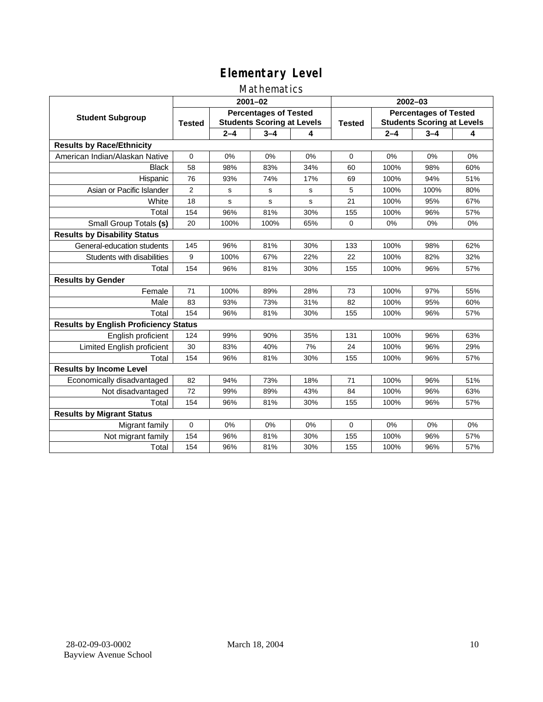### Mathematics

|                                              | $2001 - 02$                                                                        |         |             |               | $2002 - 03$                                                       |         |         |     |
|----------------------------------------------|------------------------------------------------------------------------------------|---------|-------------|---------------|-------------------------------------------------------------------|---------|---------|-----|
| <b>Student Subgroup</b>                      | <b>Percentages of Tested</b><br><b>Students Scoring at Levels</b><br><b>Tested</b> |         |             | <b>Tested</b> | <b>Percentages of Tested</b><br><b>Students Scoring at Levels</b> |         |         |     |
|                                              |                                                                                    | $2 - 4$ | $3 - 4$     | 4             |                                                                   | $2 - 4$ | $3 - 4$ | 4   |
| <b>Results by Race/Ethnicity</b>             |                                                                                    |         |             |               |                                                                   |         |         |     |
| American Indian/Alaskan Native               | 0                                                                                  | 0%      | 0%          | 0%            | $\Omega$                                                          | 0%      | 0%      | 0%  |
| <b>Black</b>                                 | 58                                                                                 | 98%     | 83%         | 34%           | 60                                                                | 100%    | 98%     | 60% |
| Hispanic                                     | 76                                                                                 | 93%     | 74%         | 17%           | 69                                                                | 100%    | 94%     | 51% |
| Asian or Pacific Islander                    | $\overline{2}$                                                                     | s       | s           | s             | 5                                                                 | 100%    | 100%    | 80% |
| White                                        | 18                                                                                 | s       | $\mathbf s$ | s             | 21                                                                | 100%    | 95%     | 67% |
| Total                                        | 154                                                                                | 96%     | 81%         | 30%           | 155                                                               | 100%    | 96%     | 57% |
| Small Group Totals (s)                       | 20                                                                                 | 100%    | 100%        | 65%           | 0                                                                 | 0%      | 0%      | 0%  |
| <b>Results by Disability Status</b>          |                                                                                    |         |             |               |                                                                   |         |         |     |
| General-education students                   | 145                                                                                | 96%     | 81%         | 30%           | 133                                                               | 100%    | 98%     | 62% |
| Students with disabilities                   | 9                                                                                  | 100%    | 67%         | 22%           | 22                                                                | 100%    | 82%     | 32% |
| Total                                        | 154                                                                                | 96%     | 81%         | 30%           | 155                                                               | 100%    | 96%     | 57% |
| <b>Results by Gender</b>                     |                                                                                    |         |             |               |                                                                   |         |         |     |
| Female                                       | 71                                                                                 | 100%    | 89%         | 28%           | 73                                                                | 100%    | 97%     | 55% |
| Male                                         | 83                                                                                 | 93%     | 73%         | 31%           | 82                                                                | 100%    | 95%     | 60% |
| Total                                        | 154                                                                                | 96%     | 81%         | 30%           | 155                                                               | 100%    | 96%     | 57% |
| <b>Results by English Proficiency Status</b> |                                                                                    |         |             |               |                                                                   |         |         |     |
| English proficient                           | 124                                                                                | 99%     | 90%         | 35%           | 131                                                               | 100%    | 96%     | 63% |
| Limited English proficient                   | 30                                                                                 | 83%     | 40%         | 7%            | 24                                                                | 100%    | 96%     | 29% |
| Total                                        | 154                                                                                | 96%     | 81%         | 30%           | 155                                                               | 100%    | 96%     | 57% |
| <b>Results by Income Level</b>               |                                                                                    |         |             |               |                                                                   |         |         |     |
| Economically disadvantaged                   | 82                                                                                 | 94%     | 73%         | 18%           | 71                                                                | 100%    | 96%     | 51% |
| Not disadvantaged                            | 72                                                                                 | 99%     | 89%         | 43%           | 84                                                                | 100%    | 96%     | 63% |
| Total                                        | 154                                                                                | 96%     | 81%         | 30%           | 155                                                               | 100%    | 96%     | 57% |
| <b>Results by Migrant Status</b>             |                                                                                    |         |             |               |                                                                   |         |         |     |
| Migrant family                               | 0                                                                                  | 0%      | 0%          | 0%            | $\mathbf 0$                                                       | 0%      | 0%      | 0%  |
| Not migrant family                           | 154                                                                                | 96%     | 81%         | 30%           | 155                                                               | 100%    | 96%     | 57% |
| Total                                        | 154                                                                                | 96%     | 81%         | 30%           | 155                                                               | 100%    | 96%     | 57% |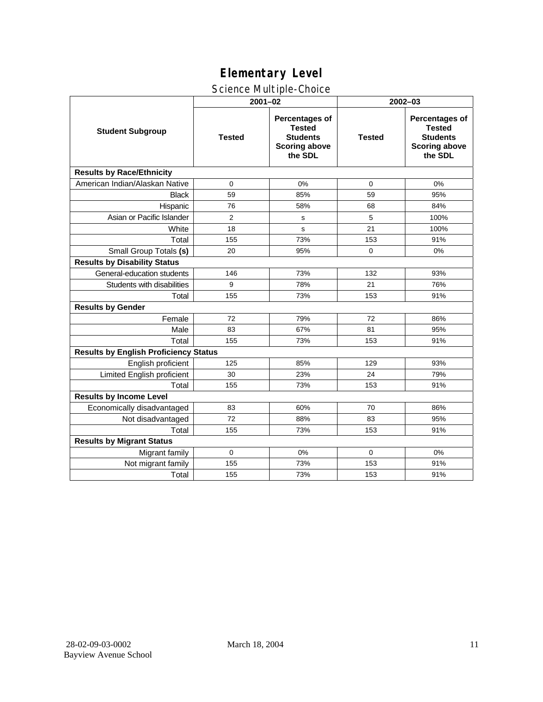### Science Multiple-Choice

|                                              | $2001 - 02$    |                                                                                              | $2002 - 03$   |                                                                                              |  |  |  |
|----------------------------------------------|----------------|----------------------------------------------------------------------------------------------|---------------|----------------------------------------------------------------------------------------------|--|--|--|
| <b>Student Subgroup</b>                      | <b>Tested</b>  | <b>Percentages of</b><br><b>Tested</b><br><b>Students</b><br><b>Scoring above</b><br>the SDL | <b>Tested</b> | <b>Percentages of</b><br><b>Tested</b><br><b>Students</b><br><b>Scoring above</b><br>the SDL |  |  |  |
| <b>Results by Race/Ethnicity</b>             |                |                                                                                              |               |                                                                                              |  |  |  |
| American Indian/Alaskan Native               | 0              | 0%                                                                                           | 0             | 0%                                                                                           |  |  |  |
| <b>Black</b>                                 | 59             | 85%                                                                                          | 59            | 95%                                                                                          |  |  |  |
| Hispanic                                     | 76             | 58%                                                                                          | 68            | 84%                                                                                          |  |  |  |
| Asian or Pacific Islander                    | $\overline{2}$ | s                                                                                            | 5             | 100%                                                                                         |  |  |  |
| White                                        | 18             | s                                                                                            | 21            | 100%                                                                                         |  |  |  |
| Total                                        | 155            | 73%                                                                                          | 153           | 91%                                                                                          |  |  |  |
| Small Group Totals (s)                       | 20             | 95%                                                                                          | $\mathbf 0$   | 0%                                                                                           |  |  |  |
| <b>Results by Disability Status</b>          |                |                                                                                              |               |                                                                                              |  |  |  |
| General-education students                   | 146            | 73%                                                                                          | 132           | 93%                                                                                          |  |  |  |
| Students with disabilities                   | 9              | 78%                                                                                          | 21            | 76%                                                                                          |  |  |  |
| Total                                        | 155            | 73%                                                                                          | 153           | 91%                                                                                          |  |  |  |
| <b>Results by Gender</b>                     |                |                                                                                              |               |                                                                                              |  |  |  |
| Female                                       | 72             | 79%                                                                                          | 72            | 86%                                                                                          |  |  |  |
| Male                                         | 83             | 67%                                                                                          | 81            | 95%                                                                                          |  |  |  |
| Total                                        | 155            | 73%                                                                                          | 153           | 91%                                                                                          |  |  |  |
| <b>Results by English Proficiency Status</b> |                |                                                                                              |               |                                                                                              |  |  |  |
| English proficient                           | 125            | 85%                                                                                          | 129           | 93%                                                                                          |  |  |  |
| Limited English proficient                   | 30             | 23%                                                                                          | 24            | 79%                                                                                          |  |  |  |
| Total                                        | 155            | 73%                                                                                          | 153           | 91%                                                                                          |  |  |  |
| <b>Results by Income Level</b>               |                |                                                                                              |               |                                                                                              |  |  |  |
| Economically disadvantaged                   | 83             | 60%                                                                                          | 70            | 86%                                                                                          |  |  |  |
| Not disadvantaged                            | 72             | 88%                                                                                          | 83            | 95%                                                                                          |  |  |  |
| Total                                        | 155            | 73%                                                                                          | 153           | 91%                                                                                          |  |  |  |
| <b>Results by Migrant Status</b>             |                |                                                                                              |               |                                                                                              |  |  |  |
| Migrant family                               | $\mathbf 0$    | 0%                                                                                           | $\Omega$      | 0%                                                                                           |  |  |  |
| Not migrant family                           | 155            | 73%                                                                                          | 153           | 91%                                                                                          |  |  |  |
| Total                                        | 155            | 73%                                                                                          | 153           | 91%                                                                                          |  |  |  |